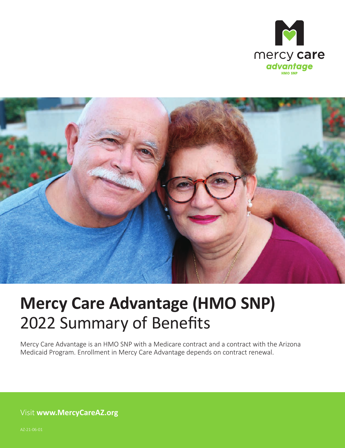



## **Mercy Care Advantage (HMO SNP)**  2022 Summary of Benefits

Mercy Care Advantage is an HMO SNP with a Medicare contract and a contract with the Arizona Medicaid Program. Enrollment in Mercy Care Advantage depends on contract renewal.

Visit **[www.MercyCareAZ.org](http://www.MercyCareAZ.org)**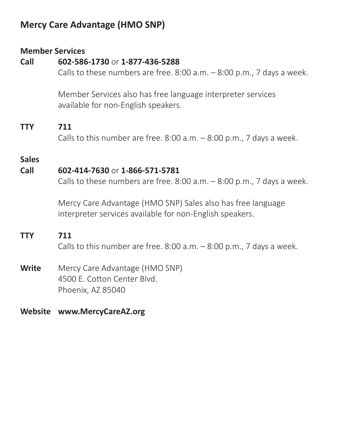## **Mercy Care Advantage (HMO SNP)**

## **Member Services**

## **Call 602-586-1730** or **1-877-436-5288**

Calls to these numbers are free.  $8:00$  a.m.  $-8:00$  p.m., 7 days a week.

Member Services also has free language interpreter services available for non-English speakers.

## **TTY 711**

Calls to this number are free.  $8:00$  a.m.  $-8:00$  p.m., 7 days a week.

## **Sales**

## **Call 602-414-7630** or **1-866-571-5781**

Calls to these numbers are free. 8:00 a.m. – 8:00 p.m., 7 days a week.

Mercy Care Advantage (HMO SNP) Sales also has free language interpreter services available for non-English speakers.

## **TTY 711**

Calls to this number are free. 8:00 a.m. – 8:00 p.m., 7 days a week.

## **Write** Mercy Care Advantage (HMO SNP) 4500 E. Cotton Center Blvd. Phoenix, AZ 85040

## **Website [www.MercyCareAZ.org](http://www.MercyCareAZ.org)**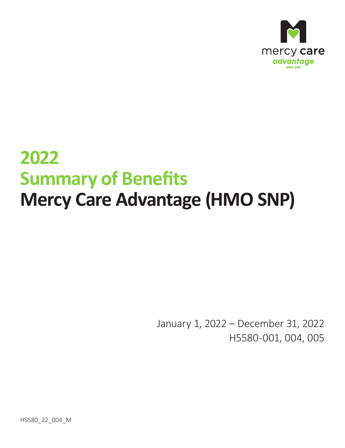

# **2022 Summary of Benefits Mercy Care Advantage (HMO SNP)**

January 1, 2022 – December 31, 2022 H5580-001, 004, 005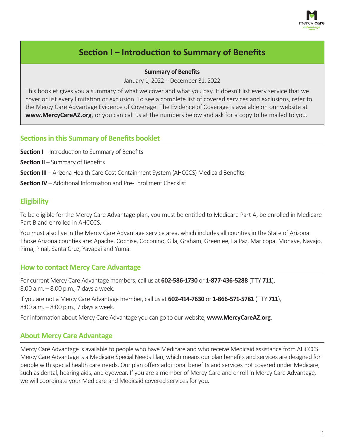

## **Section I – Introduction to Summary of Benefits**

#### **Summary of Benefits**

January 1, 2022 – December 31, 2022

This booklet gives you a summary of what we cover and what you pay. It doesn't list every service that we cover or list every limitation or exclusion. To see a complete list of covered services and exclusions, refer to the Mercy Care Advantage Evidence of Coverage. The Evidence of Coverage is available on our website at **[www.MercyCareAZ.org](http://www.MercyCareAZ.org)**, or you can call us at the numbers below and ask for a copy to be mailed to you.

#### **Sections in this Summary of Benefits booklet**

**Section I** – Introduction to Summary of Benefits

**Section II** – Summary of Benefits

**Section III** – Arizona Health Care Cost Containment System (AHCCCS) Medicaid Benefits

**Section IV** – Additional Information and Pre‑Enrollment Checklist

#### **Eligibility**

To be eligible for the Mercy Care Advantage plan, you must be entitled to Medicare Part A, be enrolled in Medicare Part B and enrolled in AHCCCS.

You must also live in the Mercy Care Advantage service area, which includes all counties in the State of Arizona. Those Arizona counties are: Apache, Cochise, Coconino, Gila, Graham, Greenlee, La Paz, Maricopa, Mohave, Navajo, Pima, Pinal, Santa Cruz, Yavapai and Yuma.

#### **How to contact Mercy Care Advantage**

For current Mercy Care Advantage members, call us at **602-586-1730** or **1-877-436-5288** (TTY **711**), 8:00 a.m. – 8:00 p.m., 7 days a week.

If you are not a Mercy Care Advantage member, call us at **602-414-7630** or **1-866-571-5781** (TTY **711**), 8:00 a.m. – 8:00 p.m., 7 days a week.

For information about Mercy Care Advantage you can go to our website, **www.MercyCareAZ.org**.

#### **About Mercy Care Advantage**

Mercy Care Advantage is available to people who have Medicare and who receive Medicaid assistance from AHCCCS. Mercy Care Advantage is a Medicare Special Needs Plan, which means our plan benefits and services are designed for people with special health care needs. Our plan offers additional benefits and services not covered under Medicare, such as dental, hearing aids, and eyewear. If you are a member of Mercy Care and enroll in Mercy Care Advantage, we will coordinate your Medicare and Medicaid covered services for you.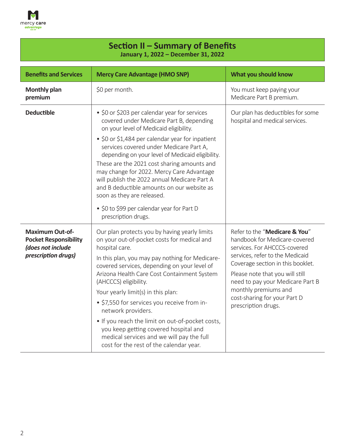

### **Section II – Summary of Benefits :anuary 1, 2022 – December 31, 2022**

| <b>Benefits and Services</b>                                                                       | <b>Mercy Care Advantage (HMO SNP)</b>                                                                                                                                                                                                                                                                               | What you should know                                                                                                                                                   |
|----------------------------------------------------------------------------------------------------|---------------------------------------------------------------------------------------------------------------------------------------------------------------------------------------------------------------------------------------------------------------------------------------------------------------------|------------------------------------------------------------------------------------------------------------------------------------------------------------------------|
| <b>Monthly plan</b><br>premium                                                                     | \$0 per month.                                                                                                                                                                                                                                                                                                      | You must keep paying your<br>Medicare Part B premium.                                                                                                                  |
| <b>Deductible</b>                                                                                  | • \$0 or \$203 per calendar year for services<br>covered under Medicare Part B, depending<br>on your level of Medicaid eligibility.<br>• \$0 or \$1,484 per calendar year for inpatient                                                                                                                             | Our plan has deductibles for some<br>hospital and medical services.                                                                                                    |
|                                                                                                    | services covered under Medicare Part A,<br>depending on your level of Medicaid eligibility.<br>These are the 2021 cost sharing amounts and<br>may change for 2022. Mercy Care Advantage<br>will publish the 2022 annual Medicare Part A<br>and B deductible amounts on our website as<br>soon as they are released. |                                                                                                                                                                        |
|                                                                                                    | • \$0 to \$99 per calendar year for Part D<br>prescription drugs.                                                                                                                                                                                                                                                   |                                                                                                                                                                        |
| <b>Maximum Out-of-</b><br><b>Pocket Responsibility</b><br>(does not include<br>prescription drugs) | Our plan protects you by having yearly limits<br>on your out-of-pocket costs for medical and<br>hospital care.<br>In this plan, you may pay nothing for Medicare-<br>covered services, depending on your level of                                                                                                   | Refer to the "Medicare & You"<br>handbook for Medicare-covered<br>services. For AHCCCS-covered<br>services, refer to the Medicaid<br>Coverage section in this booklet. |
|                                                                                                    | Arizona Health Care Cost Containment System<br>(AHCCCS) eligibility.                                                                                                                                                                                                                                                | Please note that you will still<br>need to pay your Medicare Part B<br>monthly premiums and<br>cost-sharing for your Part D<br>prescription drugs.                     |
|                                                                                                    | Your yearly limit(s) in this plan:<br>• \$7,550 for services you receive from in-<br>network providers.                                                                                                                                                                                                             |                                                                                                                                                                        |
|                                                                                                    | • If you reach the limit on out-of-pocket costs,<br>you keep getting covered hospital and<br>medical services and we will pay the full<br>cost for the rest of the calendar year.                                                                                                                                   |                                                                                                                                                                        |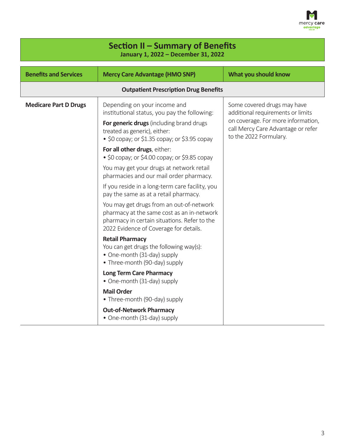

| Section II – Summary of Benefits<br>January 1, 2022 - December 31, 2022 |                                                                                                                                                                                  |                                                                                                    |
|-------------------------------------------------------------------------|----------------------------------------------------------------------------------------------------------------------------------------------------------------------------------|----------------------------------------------------------------------------------------------------|
| <b>Benefits and Services</b>                                            | <b>Mercy Care Advantage (HMO SNP)</b>                                                                                                                                            | What you should know                                                                               |
|                                                                         | <b>Outpatient Prescription Drug Benefits</b>                                                                                                                                     |                                                                                                    |
| <b>Medicare Part D Drugs</b>                                            | Depending on your income and<br>institutional status, you pay the following:                                                                                                     | Some covered drugs may have<br>additional requirements or limits                                   |
|                                                                         | For generic drugs (including brand drugs<br>treated as generic), either:<br>• $$0$ copay; or $$1.35$ copay; or $$3.95$ copay                                                     | on coverage. For more information,<br>call Mercy Care Advantage or refer<br>to the 2022 Formulary. |
|                                                                         | For all other drugs, either:<br>• \$0 copay; or \$4.00 copay; or \$9.85 copay                                                                                                    |                                                                                                    |
|                                                                         | You may get your drugs at network retail<br>pharmacies and our mail order pharmacy.                                                                                              |                                                                                                    |
|                                                                         | If you reside in a long-term care facility, you<br>pay the same as at a retail pharmacy.                                                                                         |                                                                                                    |
|                                                                         | You may get drugs from an out-of-network<br>pharmacy at the same cost as an in-network<br>pharmacy in certain situations. Refer to the<br>2022 Evidence of Coverage for details. |                                                                                                    |
|                                                                         | <b>Retail Pharmacy</b><br>You can get drugs the following way(s):<br>• One-month (31-day) supply<br>• Three-month (90-day) supply                                                |                                                                                                    |
|                                                                         | <b>Long Term Care Pharmacy</b><br>• One-month (31-day) supply                                                                                                                    |                                                                                                    |
|                                                                         | <b>Mail Order</b><br>• Three-month (90-day) supply                                                                                                                               |                                                                                                    |
|                                                                         | <b>Out-of-Network Pharmacy</b><br>• One-month (31-day) supply                                                                                                                    |                                                                                                    |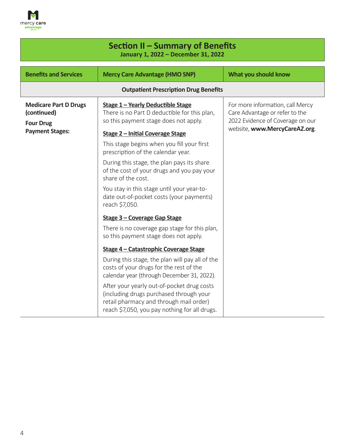

F

| Section II - Summary of Benefits<br>January 1, 2022 - December 31, 2022 |                                                                                                                                                                                   |                                                                    |
|-------------------------------------------------------------------------|-----------------------------------------------------------------------------------------------------------------------------------------------------------------------------------|--------------------------------------------------------------------|
| <b>Benefits and Services</b>                                            | <b>Mercy Care Advantage (HMO SNP)</b>                                                                                                                                             | What you should know                                               |
|                                                                         | <b>Outpatient Prescription Drug Benefits</b>                                                                                                                                      |                                                                    |
| <b>Medicare Part D Drugs</b><br>(continued)                             | Stage 1 - Yearly Deductible Stage<br>There is no Part D deductible for this plan,                                                                                                 | For more information, call Mercy<br>Care Advantage or refer to the |
| <b>Four Drug</b><br><b>Payment Stages:</b>                              | so this payment stage does not apply.<br><b>Stage 2 - Initial Coverage Stage</b>                                                                                                  | 2022 Evidence of Coverage on our<br>website, www.MercyCareAZ.org.  |
|                                                                         | This stage begins when you fill your first<br>prescription of the calendar year.                                                                                                  |                                                                    |
|                                                                         | During this stage, the plan pays its share<br>of the cost of your drugs and you pay your<br>share of the cost.                                                                    |                                                                    |
|                                                                         | You stay in this stage until your year-to-<br>date out-of-pocket costs (your payments)<br>reach \$7,050.                                                                          |                                                                    |
|                                                                         | Stage 3 - Coverage Gap Stage                                                                                                                                                      |                                                                    |
|                                                                         | There is no coverage gap stage for this plan,<br>so this payment stage does not apply.                                                                                            |                                                                    |
|                                                                         | Stage 4 – Catastrophic Coverage Stage                                                                                                                                             |                                                                    |
|                                                                         | During this stage, the plan will pay all of the<br>costs of your drugs for the rest of the<br>calendar year (through December 31, 2022).                                          |                                                                    |
|                                                                         | After your yearly out-of-pocket drug costs<br>(including drugs purchased through your<br>retail pharmacy and through mail order)<br>reach \$7,050, you pay nothing for all drugs. |                                                                    |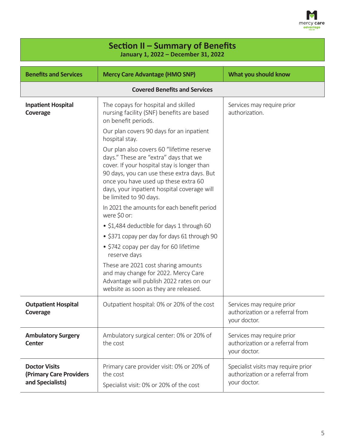

| Section II - Summary of Benefits<br>January 1, 2022 - December 31, 2022 |                                                                                                                                                                                                                                                                                                  |                                                                                         |
|-------------------------------------------------------------------------|--------------------------------------------------------------------------------------------------------------------------------------------------------------------------------------------------------------------------------------------------------------------------------------------------|-----------------------------------------------------------------------------------------|
| <b>Benefits and Services</b>                                            | <b>Mercy Care Advantage (HMO SNP)</b>                                                                                                                                                                                                                                                            | What you should know                                                                    |
|                                                                         | <b>Covered Benefits and Services</b>                                                                                                                                                                                                                                                             |                                                                                         |
| <b>Inpatient Hospital</b><br>Coverage                                   | The copays for hospital and skilled<br>nursing facility (SNF) benefits are based<br>on benefit periods.                                                                                                                                                                                          | Services may require prior<br>authorization.                                            |
|                                                                         | Our plan covers 90 days for an inpatient<br>hospital stay.                                                                                                                                                                                                                                       |                                                                                         |
|                                                                         | Our plan also covers 60 "lifetime reserve<br>days." These are "extra" days that we<br>cover. If your hospital stay is longer than<br>90 days, you can use these extra days. But<br>once you have used up these extra 60<br>days, your inpatient hospital coverage will<br>be limited to 90 days. |                                                                                         |
|                                                                         | In 2021 the amounts for each benefit period<br>were \$0 or:                                                                                                                                                                                                                                      |                                                                                         |
|                                                                         | • \$1,484 deductible for days 1 through 60                                                                                                                                                                                                                                                       |                                                                                         |
|                                                                         | • \$371 copay per day for days 61 through 90                                                                                                                                                                                                                                                     |                                                                                         |
|                                                                         | • \$742 copay per day for 60 lifetime<br>reserve days                                                                                                                                                                                                                                            |                                                                                         |
|                                                                         | These are 2021 cost sharing amounts<br>and may change for 2022. Mercy Care<br>Advantage will publish 2022 rates on our<br>website as soon as they are released.                                                                                                                                  |                                                                                         |
| <b>Outpatient Hospital</b><br>Coverage                                  | Outpatient hospital: 0% or 20% of the cost                                                                                                                                                                                                                                                       | Services may require prior<br>authorization or a referral from<br>your doctor.          |
| <b>Ambulatory Surgery</b><br><b>Center</b>                              | Ambulatory surgical center: 0% or 20% of<br>the cost                                                                                                                                                                                                                                             | Services may require prior<br>authorization or a referral from<br>your doctor.          |
| <b>Doctor Visits</b><br>(Primary Care Providers<br>and Specialists)     | Primary care provider visit: 0% or 20% of<br>the cost<br>Specialist visit: 0% or 20% of the cost                                                                                                                                                                                                 | Specialist visits may require prior<br>authorization or a referral from<br>your doctor. |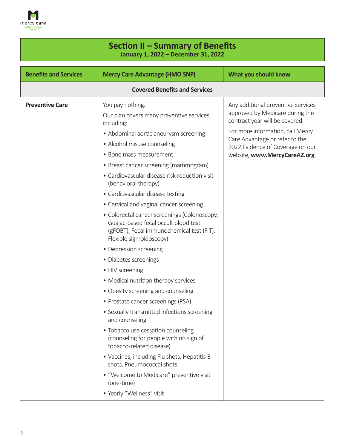

| Section II – Summary of Benefits<br>January 1, 2022 - December 31, 2022                                                                                                                                                                                                                                                                                                                          |  |  |
|--------------------------------------------------------------------------------------------------------------------------------------------------------------------------------------------------------------------------------------------------------------------------------------------------------------------------------------------------------------------------------------------------|--|--|
| What you should know                                                                                                                                                                                                                                                                                                                                                                             |  |  |
|                                                                                                                                                                                                                                                                                                                                                                                                  |  |  |
| Any additional preventive services<br>approved by Medicare during the<br>contract year will be covered.<br>For more information, call Mercy<br>Care Advantage or refer to the<br>2022 Evidence of Coverage on our<br>website, www.MercyCareAZ.org.<br>• Cardiovascular disease risk reduction visit<br>• Colorectal cancer screenings (Colonoscopy,<br>(gFOBT), Fecal immunochemical test (FIT), |  |  |
| <b>Covered Benefits and Services</b><br>Our plan covers many preventive services,<br>• Sexually transmitted infections screening<br>• Vaccines, including Flu shots, Hepatitis B<br>• "Welcome to Medicare" preventive visit                                                                                                                                                                     |  |  |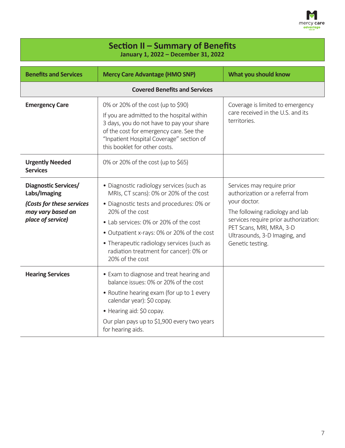

h

| Section II - Summary of Benefits<br>January 1, 2022 - December 31, 2022                                            |                                                                                                                                                                                                                                                                                                                                                    |                                                                                                                                                                                                                                             |
|--------------------------------------------------------------------------------------------------------------------|----------------------------------------------------------------------------------------------------------------------------------------------------------------------------------------------------------------------------------------------------------------------------------------------------------------------------------------------------|---------------------------------------------------------------------------------------------------------------------------------------------------------------------------------------------------------------------------------------------|
| <b>Benefits and Services</b>                                                                                       | <b>Mercy Care Advantage (HMO SNP)</b>                                                                                                                                                                                                                                                                                                              | What you should know                                                                                                                                                                                                                        |
|                                                                                                                    | <b>Covered Benefits and Services</b>                                                                                                                                                                                                                                                                                                               |                                                                                                                                                                                                                                             |
| <b>Emergency Care</b>                                                                                              | 0% or 20% of the cost (up to \$90)<br>If you are admitted to the hospital within<br>3 days, you do not have to pay your share<br>of the cost for emergency care. See the<br>"Inpatient Hospital Coverage" section of<br>this booklet for other costs.                                                                                              | Coverage is limited to emergency<br>care received in the U.S. and its<br>territories.                                                                                                                                                       |
| <b>Urgently Needed</b><br><b>Services</b>                                                                          | 0% or 20% of the cost (up to \$65)                                                                                                                                                                                                                                                                                                                 |                                                                                                                                                                                                                                             |
| <b>Diagnostic Services/</b><br>Labs/Imaging<br>(Costs for these services<br>may vary based on<br>place of service) | • Diagnostic radiology services (such as<br>MRIs, CT scans): 0% or 20% of the cost<br>· Diagnostic tests and procedures: 0% or<br>20% of the cost<br>• Lab services: 0% or 20% of the cost<br>• Outpatient x-rays: 0% or 20% of the cost<br>• Therapeutic radiology services (such as<br>radiation treatment for cancer): 0% or<br>20% of the cost | Services may require prior<br>authorization or a referral from<br>your doctor.<br>The following radiology and lab<br>services require prior authorization:<br>PET Scans, MRI, MRA, 3-D<br>Ultrasounds, 3-D Imaging, and<br>Genetic testing. |
| <b>Hearing Services</b>                                                                                            | • Exam to diagnose and treat hearing and<br>balance issues: 0% or 20% of the cost<br>• Routine hearing exam (for up to 1 every<br>calendar year): \$0 copay.<br>• Hearing aid: \$0 copay.<br>Our plan pays up to \$1,900 every two years<br>for hearing aids.                                                                                      |                                                                                                                                                                                                                                             |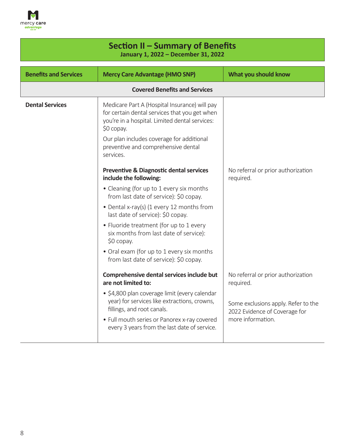

| Section II - Summary of Benefits<br>January 1, 2022 - December 31, 2022 |                                                                                                                                                                                                                                                                                                                                                                                           |                                                                                                                                              |
|-------------------------------------------------------------------------|-------------------------------------------------------------------------------------------------------------------------------------------------------------------------------------------------------------------------------------------------------------------------------------------------------------------------------------------------------------------------------------------|----------------------------------------------------------------------------------------------------------------------------------------------|
| <b>Benefits and Services</b>                                            | <b>Mercy Care Advantage (HMO SNP)</b>                                                                                                                                                                                                                                                                                                                                                     | What you should know                                                                                                                         |
|                                                                         | <b>Covered Benefits and Services</b>                                                                                                                                                                                                                                                                                                                                                      |                                                                                                                                              |
| <b>Dental Services</b>                                                  | Medicare Part A (Hospital Insurance) will pay<br>for certain dental services that you get when<br>you're in a hospital. Limited dental services:<br>$$0$ copay.<br>Our plan includes coverage for additional<br>preventive and comprehensive dental<br>services.<br><b>Preventive &amp; Diagnostic dental services</b>                                                                    | No referral or prior authorization                                                                                                           |
|                                                                         | include the following:<br>• Cleaning (for up to 1 every six months<br>from last date of service): \$0 copay.<br>• Dental x-ray(s) (1 every 12 months from<br>last date of service): \$0 copay.<br>• Fluoride treatment (for up to 1 every<br>six months from last date of service):<br>$$0$ copay.<br>• Oral exam (for up to 1 every six months<br>from last date of service): \$0 copay. | required.                                                                                                                                    |
|                                                                         | Comprehensive dental services include but<br>are not limited to:<br>· \$4,800 plan coverage limit (every calendar<br>year) for services like extractions, crowns,<br>fillings, and root canals.<br>• Full mouth series or Panorex x-ray covered<br>every 3 years from the last date of service.                                                                                           | No referral or prior authorization<br>required.<br>Some exclusions apply. Refer to the<br>2022 Evidence of Coverage for<br>more information. |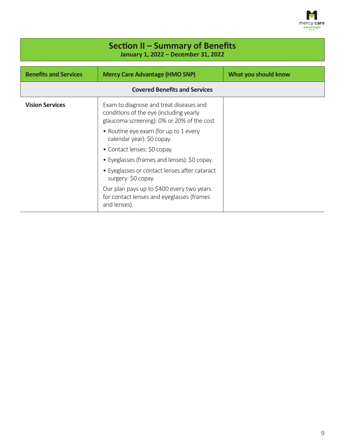

| Section II – Summary of Benefits<br>January 1, 2022 - December 31, 2022 |                                                                                                                                  |                      |
|-------------------------------------------------------------------------|----------------------------------------------------------------------------------------------------------------------------------|----------------------|
| <b>Benefits and Services</b>                                            | <b>Mercy Care Advantage (HMO SNP)</b>                                                                                            | What you should know |
| <b>Covered Benefits and Services</b>                                    |                                                                                                                                  |                      |
| <b>Vision Services</b>                                                  | Exam to diagnose and treat diseases and<br>conditions of the eye (including yearly<br>glaucoma screening): 0% or 20% of the cost |                      |
|                                                                         | • Routine eye exam (for up to 1 every<br>calendar year): \$0 copay.                                                              |                      |
|                                                                         | • Contact lenses: \$0 copay.                                                                                                     |                      |
|                                                                         | • Eyeglasses (frames and lenses): \$0 copay.                                                                                     |                      |
|                                                                         | • Eyeglasses or contact lenses after cataract<br>surgery: \$0 copay.                                                             |                      |
|                                                                         | Our plan pays up to \$400 every two years<br>for contact lenses and eyeglasses (frames<br>and lenses).                           |                      |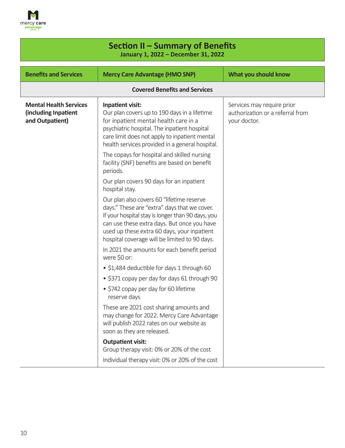

| Section II – Summary of Benefits<br>January 1, 2022 - December 31, 2022  |                                                                                                                                                                                                                                                                                               |                                                                                |
|--------------------------------------------------------------------------|-----------------------------------------------------------------------------------------------------------------------------------------------------------------------------------------------------------------------------------------------------------------------------------------------|--------------------------------------------------------------------------------|
| <b>Benefits and Services</b>                                             | <b>Mercy Care Advantage (HMO SNP)</b>                                                                                                                                                                                                                                                         | What you should know                                                           |
|                                                                          | <b>Covered Benefits and Services</b>                                                                                                                                                                                                                                                          |                                                                                |
| <b>Mental Health Services</b><br>(including Inpatient<br>and Outpatient) | Inpatient visit:<br>Our plan covers up to 190 days in a lifetime<br>for inpatient mental health care in a<br>psychiatric hospital. The inpatient hospital<br>care limit does not apply to inpatient mental<br>health services provided in a general hospital.                                 | Services may require prior<br>authorization or a referral from<br>your doctor. |
|                                                                          | The copays for hospital and skilled nursing<br>facility (SNF) benefits are based on benefit<br>periods.                                                                                                                                                                                       |                                                                                |
|                                                                          | Our plan covers 90 days for an inpatient<br>hospital stay.                                                                                                                                                                                                                                    |                                                                                |
|                                                                          | Our plan also covers 60 "lifetime reserve<br>days." These are "extra" days that we cover.<br>If your hospital stay is longer than 90 days, you<br>can use these extra days. But once you have<br>used up these extra 60 days, your inpatient<br>hospital coverage will be limited to 90 days. |                                                                                |
|                                                                          | In 2021 the amounts for each benefit period<br>were \$0 or:                                                                                                                                                                                                                                   |                                                                                |
|                                                                          | • \$1,484 deductible for days 1 through 60                                                                                                                                                                                                                                                    |                                                                                |
|                                                                          | • \$371 copay per day for days 61 through 90                                                                                                                                                                                                                                                  |                                                                                |
|                                                                          | • \$742 copay per day for 60 lifetime<br>reserve days                                                                                                                                                                                                                                         |                                                                                |
|                                                                          | These are 2021 cost sharing amounts and<br>may change for 2022. Mercy Care Advantage<br>will publish 2022 rates on our website as<br>soon as they are released.                                                                                                                               |                                                                                |
|                                                                          | <b>Outpatient visit:</b>                                                                                                                                                                                                                                                                      |                                                                                |
|                                                                          | Group therapy visit: 0% or 20% of the cost<br>Individual therapy visit: 0% or 20% of the cost                                                                                                                                                                                                 |                                                                                |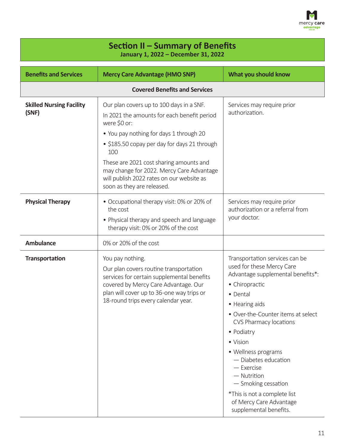

| Section II – Summary of Benefits<br>January 1, 2022 - December 31, 2022 |                                                                                                                                                                                                                                                                                                                                                                              |                                                                                                                                                                                                                                                                                                                                                                                                                                          |
|-------------------------------------------------------------------------|------------------------------------------------------------------------------------------------------------------------------------------------------------------------------------------------------------------------------------------------------------------------------------------------------------------------------------------------------------------------------|------------------------------------------------------------------------------------------------------------------------------------------------------------------------------------------------------------------------------------------------------------------------------------------------------------------------------------------------------------------------------------------------------------------------------------------|
| <b>Benefits and Services</b>                                            | <b>Mercy Care Advantage (HMO SNP)</b>                                                                                                                                                                                                                                                                                                                                        | What you should know                                                                                                                                                                                                                                                                                                                                                                                                                     |
|                                                                         | <b>Covered Benefits and Services</b>                                                                                                                                                                                                                                                                                                                                         |                                                                                                                                                                                                                                                                                                                                                                                                                                          |
| <b>Skilled Nursing Facility</b><br>(SNF)                                | Our plan covers up to 100 days in a SNF.<br>In 2021 the amounts for each benefit period<br>were \$0 or:<br>• You pay nothing for days 1 through 20<br>• \$185.50 copay per day for days 21 through<br>100<br>These are 2021 cost sharing amounts and<br>may change for 2022. Mercy Care Advantage<br>will publish 2022 rates on our website as<br>soon as they are released. | Services may require prior<br>authorization.                                                                                                                                                                                                                                                                                                                                                                                             |
| <b>Physical Therapy</b>                                                 | • Occupational therapy visit: 0% or 20% of<br>the cost<br>• Physical therapy and speech and language<br>therapy visit: 0% or 20% of the cost                                                                                                                                                                                                                                 | Services may require prior<br>authorization or a referral from<br>your doctor.                                                                                                                                                                                                                                                                                                                                                           |
| <b>Ambulance</b>                                                        | 0% or 20% of the cost                                                                                                                                                                                                                                                                                                                                                        |                                                                                                                                                                                                                                                                                                                                                                                                                                          |
| <b>Transportation</b>                                                   | You pay nothing.<br>Our plan covers routine transportation<br>services for certain supplemental benefits<br>covered by Mercy Care Advantage. Our<br>plan will cover up to 36-one way trips or<br>18-round trips every calendar year.                                                                                                                                         | Transportation services can be<br>used for these Mercy Care<br>Advantage supplemental benefits*:<br>• Chiropractic<br>• Dental<br>• Hearing aids<br>• Over-the-Counter items at select<br>CVS Pharmacy locations<br>• Podiatry<br>• Vision<br>• Wellness programs<br>$-$ Diabetes education<br>$-$ Exercise<br>$-$ Nutrition<br>- Smoking cessation<br>*This is not a complete list<br>of Mercy Care Advantage<br>supplemental benefits. |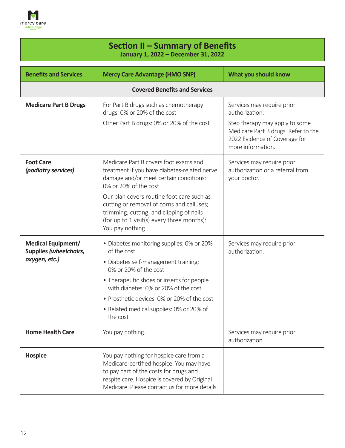

| Section II - Summary of Benefits<br>January 1, 2022 - December 31, 2022     |                                                                                                                                                                                                                                                                                                                                                                  |                                                                                                                                                                             |
|-----------------------------------------------------------------------------|------------------------------------------------------------------------------------------------------------------------------------------------------------------------------------------------------------------------------------------------------------------------------------------------------------------------------------------------------------------|-----------------------------------------------------------------------------------------------------------------------------------------------------------------------------|
| <b>Benefits and Services</b>                                                | <b>Mercy Care Advantage (HMO SNP)</b>                                                                                                                                                                                                                                                                                                                            | What you should know                                                                                                                                                        |
|                                                                             | <b>Covered Benefits and Services</b>                                                                                                                                                                                                                                                                                                                             |                                                                                                                                                                             |
| <b>Medicare Part B Drugs</b>                                                | For Part B drugs such as chemotherapy<br>drugs: 0% or 20% of the cost<br>Other Part B drugs: 0% or 20% of the cost                                                                                                                                                                                                                                               | Services may require prior<br>authorization.<br>Step therapy may apply to some<br>Medicare Part B drugs. Refer to the<br>2022 Evidence of Coverage for<br>more information. |
| <b>Foot Care</b><br>(podiatry services)                                     | Medicare Part B covers foot exams and<br>treatment if you have diabetes-related nerve<br>damage and/or meet certain conditions:<br>0% or 20% of the cost<br>Our plan covers routine foot care such as<br>cutting or removal of corns and calluses;<br>trimming, cutting, and clipping of nails<br>(for up to 1 visit(s) every three months):<br>You pay nothing. | Services may require prior<br>authorization or a referral from<br>your doctor.                                                                                              |
| <b>Medical Equipment/</b><br><b>Supplies (wheelchairs,</b><br>oxygen, etc.) | • Diabetes monitoring supplies: 0% or 20%<br>of the cost<br>· Diabetes self-management training:<br>0% or 20% of the cost<br>• Therapeutic shoes or inserts for people<br>with diabetes: 0% or 20% of the cost<br>• Prosthetic devices: 0% or 20% of the cost<br>• Related medical supplies: 0% or 20% of<br>the cost                                            | Services may require prior<br>authorization.                                                                                                                                |
| <b>Home Health Care</b>                                                     | You pay nothing.                                                                                                                                                                                                                                                                                                                                                 | Services may require prior<br>authorization.                                                                                                                                |
| <b>Hospice</b>                                                              | You pay nothing for hospice care from a<br>Medicare-certified hospice. You may have<br>to pay part of the costs for drugs and<br>respite care. Hospice is covered by Original<br>Medicare. Please contact us for more details.                                                                                                                                   |                                                                                                                                                                             |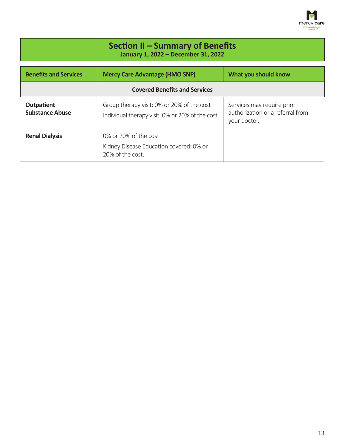

| Section II - Summary of Benefits<br>January 1, 2022 - December 31, 2022 |                                                                                               |                                                                                |
|-------------------------------------------------------------------------|-----------------------------------------------------------------------------------------------|--------------------------------------------------------------------------------|
| <b>Benefits and Services</b>                                            | <b>Mercy Care Advantage (HMO SNP)</b>                                                         | What you should know                                                           |
| <b>Covered Benefits and Services</b>                                    |                                                                                               |                                                                                |
| <b>Outpatient</b><br><b>Substance Abuse</b>                             | Group therapy visit: 0% or 20% of the cost<br>Individual therapy visit: 0% or 20% of the cost | Services may require prior<br>authorization or a referral from<br>your doctor. |
| <b>Renal Dialysis</b>                                                   | 0% or 20% of the cost<br>Kidney Disease Education covered: 0% or<br>20% of the cost.          |                                                                                |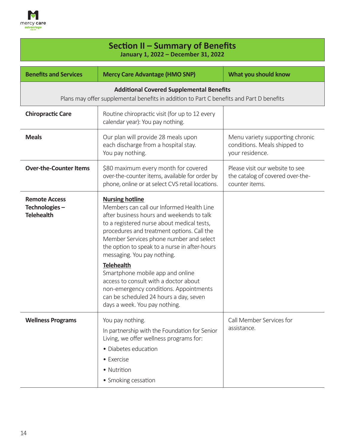

| Section II – Summary of Benefits<br>January 1, 2022 - December 31, 2022 |                                                                                                                                                                                                                                                                                                                                         |                                                                                       |  |
|-------------------------------------------------------------------------|-----------------------------------------------------------------------------------------------------------------------------------------------------------------------------------------------------------------------------------------------------------------------------------------------------------------------------------------|---------------------------------------------------------------------------------------|--|
| <b>Benefits and Services</b>                                            | <b>Mercy Care Advantage (HMO SNP)</b>                                                                                                                                                                                                                                                                                                   | What you should know                                                                  |  |
|                                                                         | <b>Additional Covered Supplemental Benefits</b><br>Plans may offer supplemental benefits in addition to Part C benefits and Part D benefits                                                                                                                                                                                             |                                                                                       |  |
| <b>Chiropractic Care</b>                                                | Routine chiropractic visit (for up to 12 every<br>calendar year): You pay nothing.                                                                                                                                                                                                                                                      |                                                                                       |  |
| <b>Meals</b>                                                            | Our plan will provide 28 meals upon<br>each discharge from a hospital stay.<br>You pay nothing.                                                                                                                                                                                                                                         | Menu variety supporting chronic<br>conditions. Meals shipped to<br>your residence.    |  |
| <b>Over-the-Counter Items</b>                                           | \$80 maximum every month for covered<br>over-the-counter items, available for order by<br>phone, online or at select CVS retail locations.                                                                                                                                                                                              | Please visit our website to see<br>the catalog of covered over-the-<br>counter items. |  |
| <b>Remote Access</b><br>Technologies-<br><b>Telehealth</b>              | <b>Nursing hotline</b><br>Members can call our Informed Health Line<br>after business hours and weekends to talk<br>to a registered nurse about medical tests,<br>procedures and treatment options. Call the<br>Member Services phone number and select<br>the option to speak to a nurse in after-hours<br>messaging. You pay nothing. |                                                                                       |  |
|                                                                         | <b>Telehealth</b><br>Smartphone mobile app and online<br>access to consult with a doctor about<br>non-emergency conditions. Appointments<br>can be scheduled 24 hours a day, seven<br>days a week. You pay nothing.                                                                                                                     |                                                                                       |  |
| <b>Wellness Programs</b>                                                | You pay nothing.<br>In partnership with the Foundation for Senior<br>Living, we offer wellness programs for:<br>• Diabetes education<br>• Exercise<br>• Nutrition<br>• Smoking cessation                                                                                                                                                | Call Member Services for<br>assistance.                                               |  |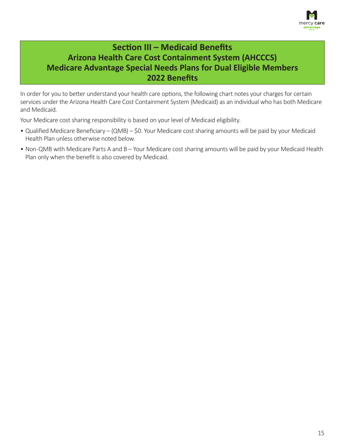

## **Section III – Medicaid Benefits Arizona Health Care Cost Containment System (AHCCCS) Medicare Advantage Special Needs Plans for Dual Eligible Members 2022 Benefits**

In order for you to better understand your health care options, the following chart notes your charges for certain services under the Arizona Health Care Cost Containment System (Medicaid) as an individual who has both Medicare and Medicaid.

Your Medicare cost sharing responsibility is based on your level of Medicaid eligibility.

- Qualified Medicare Beneficiary (QMB) \$0. Your Medicare cost sharing amounts will be paid by your Medicaid Health Plan unless otherwise noted below.
- Non-QMB with Medicare Parts A and B Your Medicare cost sharing amounts will be paid by your Medicaid Health Plan only when the benefit is also covered by Medicaid.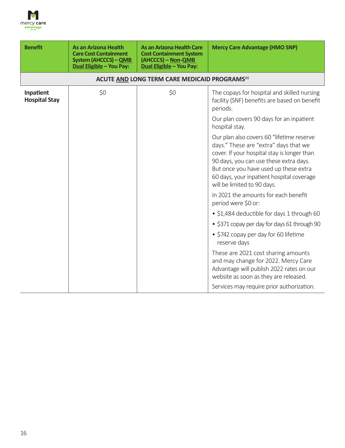

| <b>Benefit</b>                    | <b>As an Arizona Health</b><br><b>Care Cost Containment</b><br><b>System (AHCCCS) - QMB</b><br><b>Dual Eligible - You Pay:</b> | <b>As an Arizona Health Care</b><br><b>Cost Containment System</b><br>(AHCCCS) - Non-QMB<br>Dual Eligible - You Pay: | <b>Mercy Care Advantage (HMO SNP)</b>                                                                                                                                                                                                                                                            |
|-----------------------------------|--------------------------------------------------------------------------------------------------------------------------------|----------------------------------------------------------------------------------------------------------------------|--------------------------------------------------------------------------------------------------------------------------------------------------------------------------------------------------------------------------------------------------------------------------------------------------|
|                                   |                                                                                                                                | <b>ACUTE AND LONG TERM CARE MEDICAID PROGRAMS<sup>(1)</sup></b>                                                      |                                                                                                                                                                                                                                                                                                  |
| Inpatient<br><b>Hospital Stay</b> | \$0                                                                                                                            | \$0                                                                                                                  | The copays for hospital and skilled nursing<br>facility (SNF) benefits are based on benefit<br>periods.                                                                                                                                                                                          |
|                                   |                                                                                                                                |                                                                                                                      | Our plan covers 90 days for an inpatient<br>hospital stay.                                                                                                                                                                                                                                       |
|                                   |                                                                                                                                |                                                                                                                      | Our plan also covers 60 "lifetime reserve<br>days." These are "extra" days that we<br>cover. If your hospital stay is longer than<br>90 days, you can use these extra days.<br>But once you have used up these extra<br>60 days, your inpatient hospital coverage<br>will be limited to 90 days. |
|                                   |                                                                                                                                |                                                                                                                      | In 2021 the amounts for each benefit<br>period were \$0 or:                                                                                                                                                                                                                                      |
|                                   |                                                                                                                                |                                                                                                                      | · \$1,484 deductible for days 1 through 60                                                                                                                                                                                                                                                       |
|                                   |                                                                                                                                |                                                                                                                      | • \$371 copay per day for days 61 through 90                                                                                                                                                                                                                                                     |
|                                   |                                                                                                                                |                                                                                                                      | • \$742 copay per day for 60 lifetime<br>reserve days                                                                                                                                                                                                                                            |
|                                   |                                                                                                                                |                                                                                                                      | These are 2021 cost sharing amounts<br>and may change for 2022. Mercy Care<br>Advantage will publish 2022 rates on our<br>website as soon as they are released.                                                                                                                                  |
|                                   |                                                                                                                                |                                                                                                                      | Services may require prior authorization.                                                                                                                                                                                                                                                        |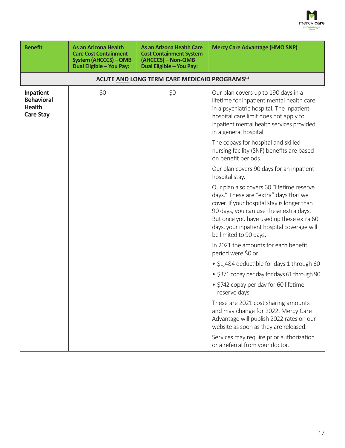

| <b>Benefit</b>                                                      | <b>As an Arizona Health</b><br><b>Care Cost Containment</b><br><b>System (AHCCCS) - QMB</b><br><b>Dual Eligible - You Pay:</b> | <b>As an Arizona Health Care</b><br><b>Cost Containment System</b><br>(AHCCCS) - Non-QMB<br>Dual Eligible - You Pay: | <b>Mercy Care Advantage (HMO SNP)</b>                                                                                                                                                                                                                                                            |
|---------------------------------------------------------------------|--------------------------------------------------------------------------------------------------------------------------------|----------------------------------------------------------------------------------------------------------------------|--------------------------------------------------------------------------------------------------------------------------------------------------------------------------------------------------------------------------------------------------------------------------------------------------|
|                                                                     |                                                                                                                                | ACUTE AND LONG TERM CARE MEDICAID PROGRAMS <sup>(1)</sup>                                                            |                                                                                                                                                                                                                                                                                                  |
| Inpatient<br><b>Behavioral</b><br><b>Health</b><br><b>Care Stay</b> | \$0                                                                                                                            | \$0                                                                                                                  | Our plan covers up to 190 days in a<br>lifetime for inpatient mental health care<br>in a psychiatric hospital. The inpatient<br>hospital care limit does not apply to<br>inpatient mental health services provided<br>in a general hospital.                                                     |
|                                                                     |                                                                                                                                |                                                                                                                      | The copays for hospital and skilled<br>nursing facility (SNF) benefits are based<br>on benefit periods.                                                                                                                                                                                          |
|                                                                     |                                                                                                                                |                                                                                                                      | Our plan covers 90 days for an inpatient<br>hospital stay.                                                                                                                                                                                                                                       |
|                                                                     |                                                                                                                                |                                                                                                                      | Our plan also covers 60 "lifetime reserve<br>days." These are "extra" days that we<br>cover. If your hospital stay is longer than<br>90 days, you can use these extra days.<br>But once you have used up these extra 60<br>days, your inpatient hospital coverage will<br>be limited to 90 days. |
|                                                                     |                                                                                                                                |                                                                                                                      | In 2021 the amounts for each benefit<br>period were \$0 or:                                                                                                                                                                                                                                      |
|                                                                     |                                                                                                                                |                                                                                                                      | • \$1,484 deductible for days 1 through 60                                                                                                                                                                                                                                                       |
|                                                                     |                                                                                                                                |                                                                                                                      | . \$371 copay per day for days 61 through 90                                                                                                                                                                                                                                                     |
|                                                                     |                                                                                                                                |                                                                                                                      | • \$742 copay per day for 60 lifetime<br>reserve days                                                                                                                                                                                                                                            |
|                                                                     |                                                                                                                                |                                                                                                                      | These are 2021 cost sharing amounts<br>and may change for 2022. Mercy Care<br>Advantage will publish 2022 rates on our<br>website as soon as they are released.                                                                                                                                  |
|                                                                     |                                                                                                                                |                                                                                                                      | Services may require prior authorization<br>or a referral from your doctor.                                                                                                                                                                                                                      |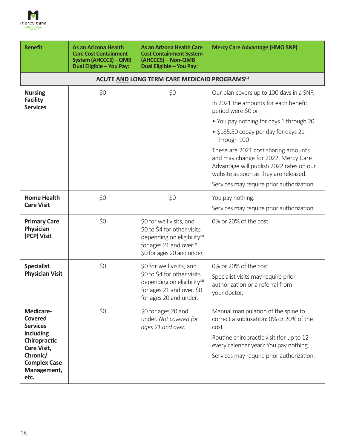

| <b>Benefit</b>                                                                                                                                                     | <b>As an Arizona Health</b><br><b>Care Cost Containment</b><br><b>System (AHCCCS) - QMB</b><br><b>Dual Eligible - You Pay:</b> | <b>As an Arizona Health Care</b><br><b>Cost Containment System</b><br>(AHCCCS) - Non-QMB<br>Dual Eligible - You Pay:                                                      | <b>Mercy Care Advantage (HMO SNP)</b>                                                                                                                                                                                     |
|--------------------------------------------------------------------------------------------------------------------------------------------------------------------|--------------------------------------------------------------------------------------------------------------------------------|---------------------------------------------------------------------------------------------------------------------------------------------------------------------------|---------------------------------------------------------------------------------------------------------------------------------------------------------------------------------------------------------------------------|
|                                                                                                                                                                    |                                                                                                                                | ACUTE AND LONG TERM CARE MEDICAID PROGRAMS <sup>(1)</sup>                                                                                                                 |                                                                                                                                                                                                                           |
| <b>Nursing</b><br><b>Facility</b><br><b>Services</b>                                                                                                               | \$0                                                                                                                            | \$0                                                                                                                                                                       | Our plan covers up to 100 days in a SNF.<br>In 2021 the amounts for each benefit<br>period were \$0 or:                                                                                                                   |
|                                                                                                                                                                    |                                                                                                                                |                                                                                                                                                                           | • You pay nothing for days 1 through 20<br>• \$185.50 copay per day for days 21<br>through 100                                                                                                                            |
|                                                                                                                                                                    |                                                                                                                                |                                                                                                                                                                           | These are 2021 cost sharing amounts<br>and may change for 2022. Mercy Care<br>Advantage will publish 2022 rates on our<br>website as soon as they are released.                                                           |
|                                                                                                                                                                    |                                                                                                                                |                                                                                                                                                                           | Services may require prior authorization.                                                                                                                                                                                 |
| <b>Home Health</b><br><b>Care Visit</b>                                                                                                                            | \$0                                                                                                                            | \$0                                                                                                                                                                       | You pay nothing.<br>Services may require prior authorization.                                                                                                                                                             |
| <b>Primary Care</b><br>Physician<br>(PCP) Visit                                                                                                                    | \$0                                                                                                                            | \$0 for well visits, and<br>\$0 to \$4 for other visits<br>depending on eligibility <sup>(2)</sup><br>for ages 21 and over <sup>(2)</sup> .<br>\$0 for ages 20 and under. | 0% or 20% of the cost                                                                                                                                                                                                     |
| <b>Specialist</b><br><b>Physician Visit</b>                                                                                                                        | \$0                                                                                                                            | \$0 for well visits, and<br>\$0 to \$4 for other visits<br>depending on eligibility <sup>(2)</sup><br>for ages 21 and over. \$0<br>for ages 20 and under.                 | 0% or 20% of the cost<br>Specialist visits may require prior<br>authorization or a referral from<br>your doctor.                                                                                                          |
| <b>Medicare-</b><br><b>Covered</b><br><b>Services</b><br>including<br>Chiropractic<br><b>Care Visit,</b><br>Chronic/<br><b>Complex Case</b><br>Management,<br>etc. | \$0                                                                                                                            | \$0 for ages 20 and<br>under. Not covered for<br>ages 21 and over.                                                                                                        | Manual manipulation of the spine to<br>correct a subluxation: 0% or 20% of the<br>cost<br>Routine chiropractic visit (for up to 12<br>every calendar year): You pay nothing.<br>Services may require prior authorization. |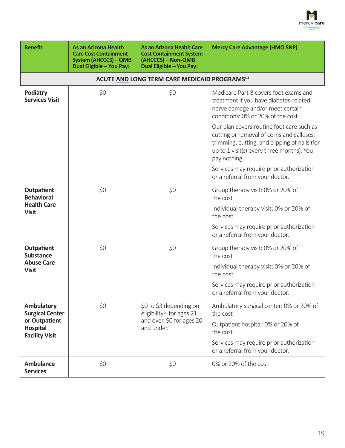

| <b>Benefit</b>                                            | <b>As an Arizona Health</b><br><b>Care Cost Containment</b><br><b>System (AHCCCS) - QMB</b><br>Dual Eligible - You Pay: | <b>As an Arizona Health Care</b><br><b>Cost Containment System</b><br>(AHCCCS) – Non-QMB<br>Dual Eligible - You Pay: | <b>Mercy Care Advantage (HMO SNP)</b>                                                                                                                                                                |
|-----------------------------------------------------------|-------------------------------------------------------------------------------------------------------------------------|----------------------------------------------------------------------------------------------------------------------|------------------------------------------------------------------------------------------------------------------------------------------------------------------------------------------------------|
|                                                           |                                                                                                                         | ACUTE AND LONG TERM CARE MEDICAID PROGRAMS <sup>(1)</sup>                                                            |                                                                                                                                                                                                      |
| <b>Podiatry</b><br><b>Services Visit</b>                  | \$0                                                                                                                     | \$0                                                                                                                  | Medicare Part B covers foot exams and<br>treatment if you have diabetes-related<br>nerve damage and/or meet certain<br>conditions: 0% or 20% of the cost                                             |
|                                                           |                                                                                                                         |                                                                                                                      | Our plan covers routine foot care such as<br>cutting or removal of corns and calluses;<br>trimming, cutting, and clipping of nails (for<br>up to 1 visit(s) every three months): You<br>pay nothing. |
|                                                           |                                                                                                                         |                                                                                                                      | Services may require prior authorization<br>or a referral from your doctor.                                                                                                                          |
| Outpatient<br><b>Behavioral</b>                           | \$0                                                                                                                     | \$0                                                                                                                  | Group therapy visit: 0% or 20% of<br>the cost                                                                                                                                                        |
| <b>Health Care</b><br><b>Visit</b>                        |                                                                                                                         |                                                                                                                      | Individual therapy visit: 0% or 20% of<br>the cost                                                                                                                                                   |
|                                                           |                                                                                                                         |                                                                                                                      | Services may require prior authorization<br>or a referral from your doctor.                                                                                                                          |
| <b>Outpatient</b><br><b>Substance</b>                     | \$0                                                                                                                     | \$0                                                                                                                  | Group therapy visit: 0% or 20% of<br>the cost                                                                                                                                                        |
| <b>Abuse Care</b><br><b>Visit</b>                         |                                                                                                                         |                                                                                                                      | Individual therapy visit: 0% or 20% of<br>the cost                                                                                                                                                   |
|                                                           |                                                                                                                         |                                                                                                                      | Services may require prior authorization<br>or a referral from your doctor.                                                                                                                          |
| <b>Ambulatory</b><br><b>Surgical Center</b>               | \$0                                                                                                                     | \$0 to \$3 depending on<br>eligibility <sup>(2)</sup> for ages 21                                                    | Ambulatory surgical center: 0% or 20% of<br>the cost                                                                                                                                                 |
| or Outpatient<br><b>Hospital</b><br><b>Facility Visit</b> |                                                                                                                         | and over. \$0 for ages 20<br>and under.                                                                              | Outpatient hospital: 0% or 20% of<br>the cost                                                                                                                                                        |
|                                                           |                                                                                                                         |                                                                                                                      | Services may require prior authorization<br>or a referral from your doctor.                                                                                                                          |
| <b>Ambulance</b><br><b>Services</b>                       | \$0                                                                                                                     | \$0                                                                                                                  | 0% or 20% of the cost                                                                                                                                                                                |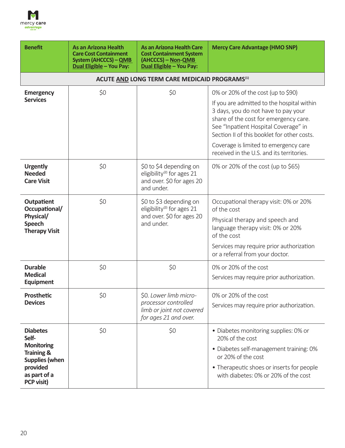

| <b>Benefit</b>                                                                                                                                   | <b>As an Arizona Health</b><br><b>Care Cost Containment</b><br><b>System (AHCCCS) - QMB</b><br><b>Dual Eligible - You Pay:</b> | <b>As an Arizona Health Care</b><br><b>Cost Containment System</b><br>(AHCCCS) - Non-QMB<br>Dual Eligible - You Pay: | <b>Mercy Care Advantage (HMO SNP)</b>                                                                                                                                                                                                                                                                                                         |
|--------------------------------------------------------------------------------------------------------------------------------------------------|--------------------------------------------------------------------------------------------------------------------------------|----------------------------------------------------------------------------------------------------------------------|-----------------------------------------------------------------------------------------------------------------------------------------------------------------------------------------------------------------------------------------------------------------------------------------------------------------------------------------------|
|                                                                                                                                                  |                                                                                                                                | ACUTE AND LONG TERM CARE MEDICAID PROGRAMS <sup>(1)</sup>                                                            |                                                                                                                                                                                                                                                                                                                                               |
| <b>Emergency</b><br><b>Services</b>                                                                                                              | \$0                                                                                                                            | \$0                                                                                                                  | 0% or 20% of the cost (up to \$90)<br>If you are admitted to the hospital within<br>3 days, you do not have to pay your<br>share of the cost for emergency care.<br>See "Inpatient Hospital Coverage" in<br>Section II of this booklet for other costs.<br>Coverage is limited to emergency care<br>received in the U.S. and its territories. |
| <b>Urgently</b><br><b>Needed</b><br><b>Care Visit</b>                                                                                            | \$0                                                                                                                            | \$0 to \$4 depending on<br>eligibility <sup>(2)</sup> for ages 21<br>and over. \$0 for ages 20<br>and under.         | 0% or 20% of the cost (up to \$65)                                                                                                                                                                                                                                                                                                            |
| Outpatient<br>Occupational/<br>Physical/<br><b>Speech</b><br><b>Therapy Visit</b>                                                                | \$0                                                                                                                            | \$0 to \$3 depending on<br>eligibility <sup>(2)</sup> for ages 21<br>and over. \$0 for ages 20<br>and under.         | Occupational therapy visit: 0% or 20%<br>of the cost<br>Physical therapy and speech and<br>language therapy visit: 0% or 20%<br>of the cost<br>Services may require prior authorization<br>or a referral from your doctor.                                                                                                                    |
| <b>Durable</b><br><b>Medical</b><br><b>Equipment</b>                                                                                             | \$0                                                                                                                            | \$0                                                                                                                  | 0% or 20% of the cost<br>Services may require prior authorization.                                                                                                                                                                                                                                                                            |
| Prosthetic<br><b>Devices</b>                                                                                                                     | \$0                                                                                                                            | \$0. Lower limb micro-<br>processor controlled<br>limb or joint not covered<br>for ages 21 and over.                 | 0% or 20% of the cost<br>Services may require prior authorization.                                                                                                                                                                                                                                                                            |
| <b>Diabetes</b><br>Self-<br><b>Monitoring</b><br><b>Training &amp;</b><br><b>Supplies (when</b><br>provided<br>as part of a<br><b>PCP visit)</b> | \$0                                                                                                                            | \$0                                                                                                                  | • Diabetes monitoring supplies: 0% or<br>20% of the cost<br>· Diabetes self-management training: 0%<br>or 20% of the cost<br>• Therapeutic shoes or inserts for people<br>with diabetes: 0% or 20% of the cost                                                                                                                                |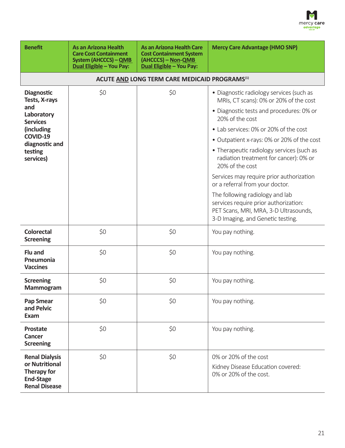

| <b>Benefit</b>                                                                                            | <b>As an Arizona Health</b><br><b>Care Cost Containment</b><br><b>System (AHCCCS) - QMB</b><br>Dual Eligible - You Pay: | <b>As an Arizona Health Care</b><br><b>Cost Containment System</b><br>(AHCCCS) - Non-QMB<br>Dual Eligible - You Pay: | <b>Mercy Care Advantage (HMO SNP)</b>                                                                                                                  |
|-----------------------------------------------------------------------------------------------------------|-------------------------------------------------------------------------------------------------------------------------|----------------------------------------------------------------------------------------------------------------------|--------------------------------------------------------------------------------------------------------------------------------------------------------|
|                                                                                                           |                                                                                                                         | ACUTE AND LONG TERM CARE MEDICAID PROGRAMS <sup>(1)</sup>                                                            |                                                                                                                                                        |
| <b>Diagnostic</b><br>Tests, X-rays                                                                        | \$0                                                                                                                     | \$0                                                                                                                  | · Diagnostic radiology services (such as<br>MRIs, CT scans): 0% or 20% of the cost                                                                     |
| and<br>Laboratory<br><b>Services</b>                                                                      |                                                                                                                         |                                                                                                                      | · Diagnostic tests and procedures: 0% or<br>20% of the cost                                                                                            |
| (including                                                                                                |                                                                                                                         |                                                                                                                      | • Lab services: 0% or 20% of the cost                                                                                                                  |
| COVID-19<br>diagnostic and                                                                                |                                                                                                                         |                                                                                                                      | • Outpatient x-rays: 0% or 20% of the cost                                                                                                             |
| testing<br>services)                                                                                      |                                                                                                                         |                                                                                                                      | • Therapeutic radiology services (such as<br>radiation treatment for cancer): 0% or<br>20% of the cost                                                 |
|                                                                                                           |                                                                                                                         |                                                                                                                      | Services may require prior authorization<br>or a referral from your doctor.                                                                            |
|                                                                                                           |                                                                                                                         |                                                                                                                      | The following radiology and lab<br>services require prior authorization:<br>PET Scans, MRI, MRA, 3-D Ultrasounds,<br>3-D Imaging, and Genetic testing. |
| <b>Colorectal</b><br><b>Screening</b>                                                                     | \$0                                                                                                                     | \$0                                                                                                                  | You pay nothing.                                                                                                                                       |
| <b>Flu and</b><br>Pneumonia<br><b>Vaccines</b>                                                            | \$0                                                                                                                     | \$0                                                                                                                  | You pay nothing.                                                                                                                                       |
| <b>Screening</b><br><b>Mammogram</b>                                                                      | \$0                                                                                                                     | \$0                                                                                                                  | You pay nothing.                                                                                                                                       |
| <b>Pap Smear</b><br>and Pelvic<br>Exam                                                                    | \$0                                                                                                                     | \$0                                                                                                                  | You pay nothing.                                                                                                                                       |
| <b>Prostate</b><br>Cancer<br><b>Screening</b>                                                             | \$0                                                                                                                     | \$0                                                                                                                  | You pay nothing.                                                                                                                                       |
| <b>Renal Dialysis</b><br>or Nutritional<br><b>Therapy for</b><br><b>End-Stage</b><br><b>Renal Disease</b> | \$0                                                                                                                     | \$0                                                                                                                  | 0% or 20% of the cost<br>Kidney Disease Education covered:<br>0% or 20% of the cost.                                                                   |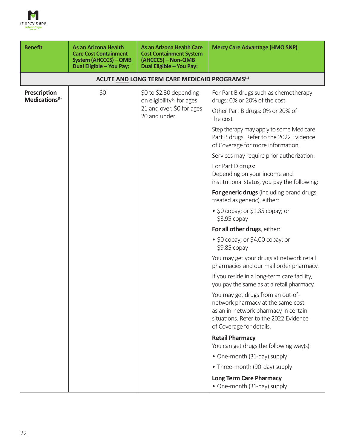

| <b>Benefit</b>                             | <b>As an Arizona Health</b><br><b>Care Cost Containment</b><br><b>System (AHCCCS) - QMB</b><br><b>Dual Eligible - You Pay:</b> | As an Arizona Health Care<br><b>Cost Containment System</b><br>(AHCCCS) – Non-QMB<br>Dual Eligible - You Pay: | <b>Mercy Care Advantage (HMO SNP)</b>                                                                                                                                                |
|--------------------------------------------|--------------------------------------------------------------------------------------------------------------------------------|---------------------------------------------------------------------------------------------------------------|--------------------------------------------------------------------------------------------------------------------------------------------------------------------------------------|
|                                            |                                                                                                                                | ACUTE AND LONG TERM CARE MEDICAID PROGRAMS <sup>(1)</sup>                                                     |                                                                                                                                                                                      |
| Prescription<br>Medications <sup>(3)</sup> | \$0                                                                                                                            | \$0 to \$2.30 depending<br>on eligibility <sup>(2)</sup> for ages                                             | For Part B drugs such as chemotherapy<br>drugs: 0% or 20% of the cost                                                                                                                |
|                                            |                                                                                                                                | 21 and over. \$0 for ages<br>20 and under.                                                                    | Other Part B drugs: 0% or 20% of<br>the cost                                                                                                                                         |
|                                            |                                                                                                                                |                                                                                                               | Step therapy may apply to some Medicare<br>Part B drugs. Refer to the 2022 Evidence<br>of Coverage for more information.                                                             |
|                                            |                                                                                                                                |                                                                                                               | Services may require prior authorization.                                                                                                                                            |
|                                            |                                                                                                                                |                                                                                                               | For Part D drugs:<br>Depending on your income and<br>institutional status, you pay the following:                                                                                    |
|                                            |                                                                                                                                |                                                                                                               | For generic drugs (including brand drugs<br>treated as generic), either:                                                                                                             |
|                                            |                                                                                                                                |                                                                                                               | • $$0$ copay; or $$1.35$ copay; or<br>$$3.95$ copay                                                                                                                                  |
|                                            |                                                                                                                                |                                                                                                               | For all other drugs, either:                                                                                                                                                         |
|                                            |                                                                                                                                |                                                                                                               | • $$0$ copay; or $$4.00$ copay; or<br>$$9.85$ copay                                                                                                                                  |
|                                            |                                                                                                                                |                                                                                                               | You may get your drugs at network retail<br>pharmacies and our mail order pharmacy.                                                                                                  |
|                                            |                                                                                                                                |                                                                                                               | If you reside in a long-term care facility,<br>you pay the same as at a retail pharmacy.                                                                                             |
|                                            |                                                                                                                                |                                                                                                               | You may get drugs from an out-of-<br>network pharmacy at the same cost<br>as an in-network pharmacy in certain<br>situations. Refer to the 2022 Evidence<br>of Coverage for details. |
|                                            |                                                                                                                                |                                                                                                               | <b>Retail Pharmacy</b><br>You can get drugs the following way(s):                                                                                                                    |
|                                            |                                                                                                                                |                                                                                                               | • One-month (31-day) supply                                                                                                                                                          |
|                                            |                                                                                                                                |                                                                                                               | • Three-month (90-day) supply                                                                                                                                                        |
|                                            |                                                                                                                                |                                                                                                               | <b>Long Term Care Pharmacy</b><br>• One-month (31-day) supply                                                                                                                        |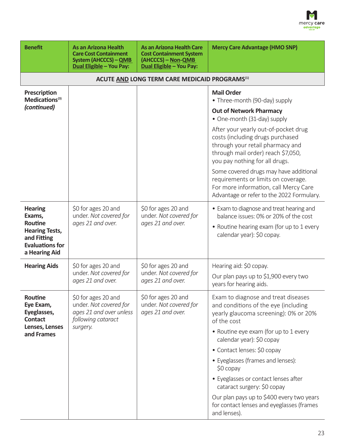

| <b>Benefit</b>                                                                                                                | <b>As an Arizona Health</b><br><b>Care Cost Containment</b><br><b>System (AHCCCS) - QMB</b><br><b>Dual Eligible - You Pay:</b> | <b>As an Arizona Health Care</b><br><b>Cost Containment System</b><br>(AHCCCS) - Non-QMB<br><b>Dual Eligible - You Pay:</b> | <b>Mercy Care Advantage (HMO SNP)</b>                                                                                                                                                                                                                                                                                                                                                                                                                                        |  |  |
|-------------------------------------------------------------------------------------------------------------------------------|--------------------------------------------------------------------------------------------------------------------------------|-----------------------------------------------------------------------------------------------------------------------------|------------------------------------------------------------------------------------------------------------------------------------------------------------------------------------------------------------------------------------------------------------------------------------------------------------------------------------------------------------------------------------------------------------------------------------------------------------------------------|--|--|
|                                                                                                                               | ACUTE AND LONG TERM CARE MEDICAID PROGRAMS <sup>(1)</sup>                                                                      |                                                                                                                             |                                                                                                                                                                                                                                                                                                                                                                                                                                                                              |  |  |
| Prescription<br>Medications <sup>(3)</sup>                                                                                    |                                                                                                                                |                                                                                                                             | <b>Mail Order</b><br>• Three-month (90-day) supply                                                                                                                                                                                                                                                                                                                                                                                                                           |  |  |
| (continued)                                                                                                                   |                                                                                                                                |                                                                                                                             | <b>Out of Network Pharmacy</b><br>• One-month (31-day) supply                                                                                                                                                                                                                                                                                                                                                                                                                |  |  |
|                                                                                                                               |                                                                                                                                |                                                                                                                             | After your yearly out-of-pocket drug<br>costs (including drugs purchased<br>through your retail pharmacy and<br>through mail order) reach \$7,050,<br>you pay nothing for all drugs.<br>Some covered drugs may have additional<br>requirements or limits on coverage.<br>For more information, call Mercy Care<br>Advantage or refer to the 2022 Formulary.                                                                                                                  |  |  |
| <b>Hearing</b><br>Exams,<br><b>Routine</b><br><b>Hearing Tests,</b><br>and Fitting<br><b>Evaluations for</b><br>a Hearing Aid | \$0 for ages 20 and<br>under. Not covered for<br>ages 21 and over.                                                             | \$0 for ages 20 and<br>under. Not covered for<br>ages 21 and over.                                                          | • Exam to diagnose and treat hearing and<br>balance issues: 0% or 20% of the cost<br>• Routine hearing exam (for up to 1 every<br>calendar year): \$0 copay.                                                                                                                                                                                                                                                                                                                 |  |  |
| <b>Hearing Aids</b>                                                                                                           | \$0 for ages 20 and<br>under. Not covered for<br>ages 21 and over.                                                             | \$0 for ages 20 and<br>under. Not covered for<br>ages 21 and over.                                                          | Hearing aid: \$0 copay.<br>Our plan pays up to \$1,900 every two<br>years for hearing aids.                                                                                                                                                                                                                                                                                                                                                                                  |  |  |
| <b>Routine</b><br>Eye Exam,<br>Eyeglasses,<br><b>Contact</b><br>Lenses, Lenses<br>and Frames                                  | \$0 for ages 20 and<br>under. Not covered for<br>ages 21 and over unless<br>following cataract<br>surgery.                     | \$0 for ages 20 and<br>under. Not covered for<br>ages 21 and over.                                                          | Exam to diagnose and treat diseases<br>and conditions of the eye (including<br>yearly glaucoma screening): 0% or 20%<br>of the cost<br>• Routine eye exam (for up to 1 every<br>calendar year): \$0 copay<br>• Contact lenses: \$0 copay<br>• Eyeglasses (frames and lenses):<br>$$0$ copay<br>• Eyeglasses or contact lenses after<br>cataract surgery: \$0 copay<br>Our plan pays up to \$400 every two years<br>for contact lenses and eyeglasses (frames<br>and lenses). |  |  |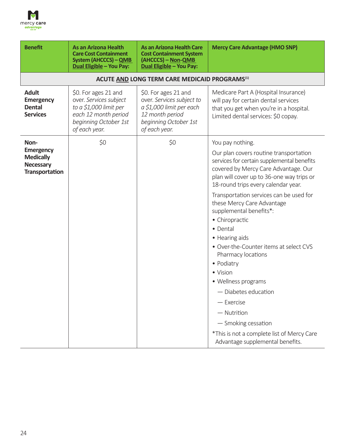

| <b>Benefit</b>                                                                    | <b>As an Arizona Health</b><br><b>Care Cost Containment</b><br><b>System (AHCCCS) - QMB</b><br>Dual Eligible - You Pay:                    | <b>As an Arizona Health Care</b><br><b>Cost Containment System</b><br>(AHCCCS) - Non-QMB<br>Dual Eligible - You Pay:                       | <b>Mercy Care Advantage (HMO SNP)</b>                                                                                                                                                                                                                                                                                                                                                             |
|-----------------------------------------------------------------------------------|--------------------------------------------------------------------------------------------------------------------------------------------|--------------------------------------------------------------------------------------------------------------------------------------------|---------------------------------------------------------------------------------------------------------------------------------------------------------------------------------------------------------------------------------------------------------------------------------------------------------------------------------------------------------------------------------------------------|
|                                                                                   |                                                                                                                                            | ACUTE AND LONG TERM CARE MEDICAID PROGRAMS <sup>(1)</sup>                                                                                  |                                                                                                                                                                                                                                                                                                                                                                                                   |
| <b>Adult</b><br><b>Emergency</b><br><b>Dental</b><br><b>Services</b>              | \$0. For ages 21 and<br>over. Services subject<br>to a \$1,000 limit per<br>each 12 month period<br>beginning October 1st<br>of each year. | \$0. For ages 21 and<br>over. Services subject to<br>a \$1,000 limit per each<br>12 month period<br>beginning October 1st<br>of each year. | Medicare Part A (Hospital Insurance)<br>will pay for certain dental services<br>that you get when you're in a hospital.<br>Limited dental services: \$0 copay.                                                                                                                                                                                                                                    |
| Non-                                                                              | \$0                                                                                                                                        | \$0                                                                                                                                        | You pay nothing.                                                                                                                                                                                                                                                                                                                                                                                  |
| <b>Emergency</b><br><b>Medically</b><br><b>Necessary</b><br><b>Transportation</b> |                                                                                                                                            |                                                                                                                                            | Our plan covers routine transportation<br>services for certain supplemental benefits<br>covered by Mercy Care Advantage. Our<br>plan will cover up to 36-one way trips or<br>18-round trips every calendar year.                                                                                                                                                                                  |
|                                                                                   |                                                                                                                                            |                                                                                                                                            | Transportation services can be used for<br>these Mercy Care Advantage<br>supplemental benefits*:<br>• Chiropractic<br>• Dental<br>• Hearing aids<br>• Over-the-Counter items at select CVS<br>Pharmacy locations<br>• Podiatry<br>• Vision<br>• Wellness programs<br>$-$ Diabetes education<br>$-$ Exercise<br>$-$ Nutrition<br>- Smoking cessation<br>*This is not a complete list of Mercy Care |
|                                                                                   |                                                                                                                                            |                                                                                                                                            | Advantage supplemental benefits.                                                                                                                                                                                                                                                                                                                                                                  |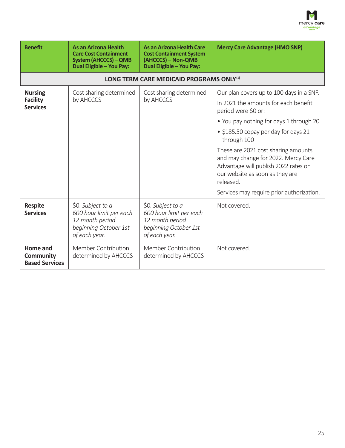

| <b>Benefit</b>                                        | <b>As an Arizona Health</b><br><b>Care Cost Containment</b><br>System (AHCCCS) - QMB<br>Dual Eligible - You Pay: | As an Arizona Health Care<br><b>Cost Containment System</b><br>(AHCCCS) - Non-QMB<br>Dual Eligible - You Pay: | <b>Mercy Care Advantage (HMO SNP)</b>                                                                                                                                                                                                                                                                                                                                                                                        |
|-------------------------------------------------------|------------------------------------------------------------------------------------------------------------------|---------------------------------------------------------------------------------------------------------------|------------------------------------------------------------------------------------------------------------------------------------------------------------------------------------------------------------------------------------------------------------------------------------------------------------------------------------------------------------------------------------------------------------------------------|
|                                                       |                                                                                                                  | LONG TERM CARE MEDICAID PROGRAMS ONLY <sup>(1)</sup>                                                          |                                                                                                                                                                                                                                                                                                                                                                                                                              |
| <b>Nursing</b><br><b>Facility</b><br><b>Services</b>  | Cost sharing determined<br>by AHCCCS                                                                             | Cost sharing determined<br>by AHCCCS                                                                          | Our plan covers up to 100 days in a SNF.<br>In 2021 the amounts for each benefit<br>period were \$0 or:<br>• You pay nothing for days 1 through 20<br>• \$185.50 copay per day for days 21<br>through 100<br>These are 2021 cost sharing amounts<br>and may change for 2022. Mercy Care<br>Advantage will publish 2022 rates on<br>our website as soon as they are<br>released.<br>Services may require prior authorization. |
| <b>Respite</b><br><b>Services</b>                     | \$0. Subject to a<br>600 hour limit per each<br>12 month period<br>beginning October 1st<br>of each year.        | \$0. Subject to a<br>600 hour limit per each<br>12 month period<br>beginning October 1st<br>of each year.     | Not covered.                                                                                                                                                                                                                                                                                                                                                                                                                 |
| Home and<br><b>Community</b><br><b>Based Services</b> | Member Contribution<br>determined by AHCCCS                                                                      | Member Contribution<br>determined by AHCCCS                                                                   | Not covered.                                                                                                                                                                                                                                                                                                                                                                                                                 |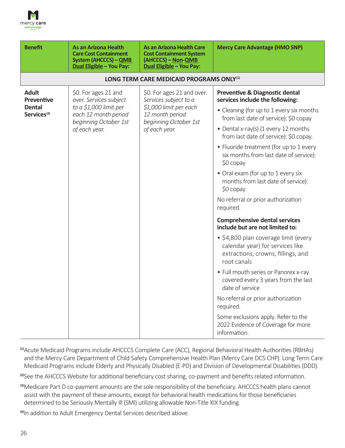

| <b>Benefit</b>                                                                | As an Arizona Health<br><b>Care Cost Containment</b><br><b>System (AHCCCS) - QMB</b><br><b>Dual Eligible - You Pay:</b>                    | As an Arizona Health Care<br><b>Cost Containment System</b><br>(AHCCCS) - Non-QMB<br>Dual Eligible - You Pay:                              | <b>Mercy Care Advantage (HMO SNP)</b>                                                                                                                                                                                                                                                                                                                                                                                                                                                                                                                                                                                                                                                                                                                                                                |
|-------------------------------------------------------------------------------|--------------------------------------------------------------------------------------------------------------------------------------------|--------------------------------------------------------------------------------------------------------------------------------------------|------------------------------------------------------------------------------------------------------------------------------------------------------------------------------------------------------------------------------------------------------------------------------------------------------------------------------------------------------------------------------------------------------------------------------------------------------------------------------------------------------------------------------------------------------------------------------------------------------------------------------------------------------------------------------------------------------------------------------------------------------------------------------------------------------|
|                                                                               |                                                                                                                                            | LONG TERM CARE MEDICAID PROGRAMS ONLY <sup>(1)</sup>                                                                                       |                                                                                                                                                                                                                                                                                                                                                                                                                                                                                                                                                                                                                                                                                                                                                                                                      |
| <b>Adult</b><br><b>Preventive</b><br><b>Dental</b><br>Services <sup>(4)</sup> | \$0. For ages 21 and<br>over. Services subject<br>to a \$1,000 limit per<br>each 12 month period<br>beginning October 1st<br>of each year. | \$0. For ages 21 and over.<br>Services subject to a<br>\$1,000 limit per each<br>12 month period<br>beginning October 1st<br>of each year. | Preventive & Diagnostic dental<br>services include the following:<br>• Cleaning (for up to 1 every six months<br>from last date of service): \$0 copay<br>• Dental x-ray(s) (1 every 12 months<br>from last date of service): \$0 copay.<br>• Fluoride treatment (for up to 1 every<br>six months from last date of service):<br>\$0 copay<br>• Oral exam (for up to 1 every six<br>months from last date of service):<br>\$0 copay<br>No referral or prior authorization<br>required.<br><b>Comprehensive dental services</b><br>include but are not limited to:<br>• \$4,800 plan coverage limit (every<br>calendar year) for services like<br>extractions, crowns, fillings, and<br>root canals<br>• Full mouth series or Panorex x-ray<br>covered every 3 years from the last<br>date of service |
|                                                                               |                                                                                                                                            |                                                                                                                                            | No referral or prior authorization<br>required.<br>Some exclusions apply. Refer to the<br>2022 Evidence of Coverage for more<br>information.                                                                                                                                                                                                                                                                                                                                                                                                                                                                                                                                                                                                                                                         |

**(1)**Acute Medicaid Programs include AHCCCS Complete Care (ACC), Regional Behavioral Health Authorities (RBHAs) and the Mercy Care Department of Child Safety Comprehensive Health Plan (Mercy Care DCS CHP). Long Term Care Medicaid Programs include Elderly and Physically Disabled (E‑PD) and Division of Developmental Disabilities (DDD).

**(2)**See the AHCCCS Website for additional beneficiary cost sharing, co‑payment and benefits related information.

**(3)**Medicare Part D co‑payment amounts are the sole responsibility of the beneficiary. AHCCCS health plans cannot assist with the payment of these amounts, except for behavioral health medications for those beneficiaries determined to be Seriously Mentally Ill (SMI) utilizing allowable Non-Title XIX funding.

**(4)**In addition to Adult Emergency Dental Services described above.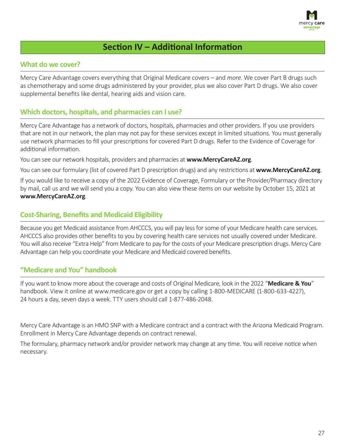

## **Section IV – Additional Information**

#### **What do we cover?**

Mercy Care Advantage covers everything that Original Medicare covers – and *more*. We cover Part B drugs such as chemotherapy and some drugs administered by your provider, plus we also cover Part D drugs. We also cover supplemental benefits like dental, hearing aids and vision care.

#### **Which doctors, hospitals, and pharmacies can I use?**

Mercy Care Advantage has a network of doctors, hospitals, pharmacies and other providers. If you use providers that are not in our network, the plan may not pay for these services except in limited situations. You must generally use network pharmacies to fill your prescriptions for covered Part D drugs. Refer to the Evidence of Coverage for additional information.

You can see our network hospitals, providers and pharmacies at **www.MercyCareAZ.org**.

You can see our formulary (list of covered Part D prescription drugs) and any restrictions at **www.MercyCareAZ.org**.

If you would like to receive a copy of the 2022 Evidence of Coverage, Formulary or the Provider/Pharmacy directory by mail, call us and we will send you a copy. You can also view these items on our website by October 15, 2021 at **www.MercyCareAZ.org**.

#### **Cost-Sharing, Benefits and Medicaid Eligibility**

Because you get Medicaid assistance from AHCCCS, you will pay less for some of your Medicare health care services. AHCCCS also provides other benefits to you by covering health care services not usually covered under Medicare. You will also receive "Extra Help" from Medicare to pay for the costs of your Medicare prescription drugs. Mercy Care Advantage can help you coordinate your Medicare and Medicaid covered benefits.

#### **"Medicare and You" handbook**

If you want to know more about the coverage and costs of Original Medicare, look in the 2022 "**Medicare & You**" handbook. View it online at www.medicare.gov or get a copy by calling 1-800-MEDICARE (1-800-633-4227), 24 hours a day, seven days a week. TTY users should call 1‑877‑486‑2048.

Mercy Care Advantage is an HMO SNP with a Medicare contract and a contract with the Arizona Medicaid Program. Enrollment in Mercy Care Advantage depends on contract renewal.

The formulary, pharmacy network and/or provider network may change at any time. You will receive notice when necessary.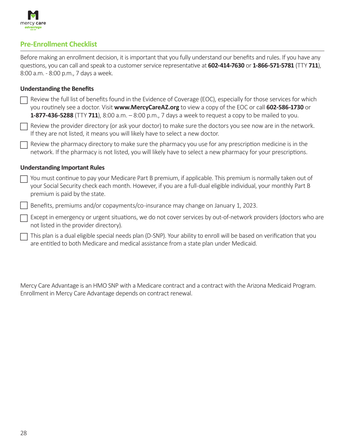

#### **Pre-Enrollment Checklist**

Before making an enrollment decision, it is important that you fully understand our benefits and rules. If you have any questions, you can call and speak to a customer service representative at **602-414-7630** or **1-866-571-5781** (TTY **711**), 8:00 a.m. ‑ 8:00 p.m., 7 days a week.

#### **Understanding the Benefits**

| Review the full list of benefits found in the Evidence of Coverage (EOC), especially for those services for which      |
|------------------------------------------------------------------------------------------------------------------------|
| you routinely see a doctor. Visit www.MercyCareAZ.org to view a copy of the EOC or call 602-586-1730 or                |
| <b>1-877-436-5288</b> (TTY <b>711</b> ), 8:00 a.m. $-$ 8:00 p.m., 7 days a week to request a copy to be mailed to you. |

F Review the provider directory (or ask your doctor) to make sure the doctors you see now are in the network. If they are not listed, it means you will likely have to select a new doctor.

F Review the pharmacy directory to make sure the pharmacy you use for any prescription medicine is in the network. If the pharmacy is not listed, you will likely have to select a new pharmacy for your prescriptions.

#### **Understanding Important Rules**

F You must continue to pay your Medicare Part B premium, if applicable. This premium is normally taken out of your Social Security check each month. However, if you are a full‑dual eligible individual, your monthly Part B premium is paid by the state.

F Benefits, premiums and/or copayments/co‑insurance may change on January 1, 2023.

F Except in emergency or urgent situations, we do not cover services by out-of-network providers (doctors who are not listed in the provider directory).

 $\Box$ This plan is a dual eligible special needs plan (D‑SNP). Your ability to enroll will be based on verification that you are entitled to both Medicare and medical assistance from a state plan under Medicaid.

Mercy Care Advantage is an HMO SNP with a Medicare contract and a contract with the Arizona Medicaid Program. Enrollment in Mercy Care Advantage depends on contract renewal.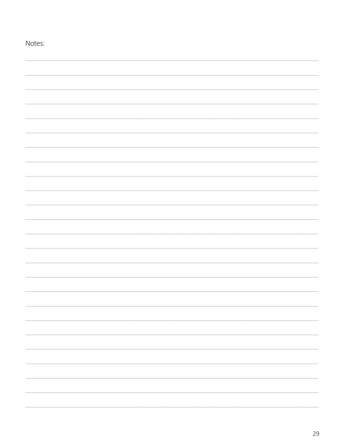| Notes: |  |
|--------|--|
|        |  |
|        |  |
|        |  |
|        |  |
|        |  |
|        |  |
|        |  |
|        |  |
|        |  |
|        |  |
|        |  |
|        |  |
|        |  |
|        |  |
|        |  |
|        |  |
|        |  |
|        |  |
|        |  |
|        |  |
|        |  |
|        |  |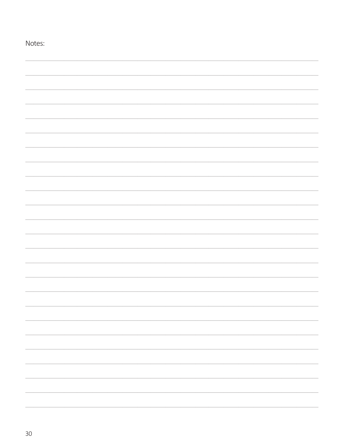| Notes: |  |
|--------|--|
|        |  |
|        |  |
|        |  |
|        |  |
|        |  |
|        |  |
|        |  |
|        |  |
|        |  |
|        |  |
|        |  |
|        |  |
|        |  |
|        |  |
|        |  |
|        |  |
|        |  |
|        |  |
|        |  |
|        |  |
|        |  |
|        |  |
|        |  |
|        |  |
|        |  |
|        |  |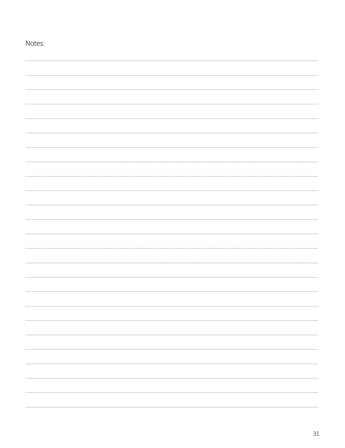| Notes: |
|--------|
|        |
|        |
|        |
|        |
|        |
|        |
|        |
|        |
|        |
|        |
|        |
|        |
|        |
|        |
|        |
|        |
|        |
|        |
|        |
|        |
|        |